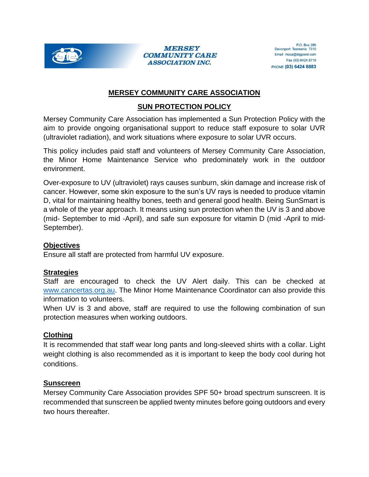

#### **MERSEY COMMUNITY CARE ASSOCIATION INC.**

# **MERSEY COMMUNITY CARE ASSOCIATION**

# **SUN PROTECTION POLICY**

Mersey Community Care Association has implemented a Sun Protection Policy with the aim to provide ongoing organisational support to reduce staff exposure to solar UVR (ultraviolet radiation), and work situations where exposure to solar UVR occurs.

This policy includes paid staff and volunteers of Mersey Community Care Association, the Minor Home Maintenance Service who predominately work in the outdoor environment.

Over-exposure to UV (ultraviolet) rays causes sunburn, skin damage and increase risk of cancer. However, some skin exposure to the sun's UV rays is needed to produce vitamin D, vital for maintaining healthy bones, teeth and general good health. Being SunSmart is a whole of the year approach. It means using sun protection when the UV is 3 and above (mid- September to mid -April), and safe sun exposure for vitamin D (mid -April to mid-September).

### **Objectives**

Ensure all staff are protected from harmful UV exposure.

### **Strategies**

Staff are encouraged to check the UV Alert daily. This can be checked at [www.cancertas.org.au.](http://www.cancertas.org.au/) The Minor Home Maintenance Coordinator can also provide this information to volunteers.

When UV is 3 and above, staff are required to use the following combination of sun protection measures when working outdoors.

### **Clothing**

It is recommended that staff wear long pants and long-sleeved shirts with a collar. Light weight clothing is also recommended as it is important to keep the body cool during hot conditions.

### **Sunscreen**

Mersey Community Care Association provides SPF 50+ broad spectrum sunscreen. It is recommended that sunscreen be applied twenty minutes before going outdoors and every two hours thereafter.